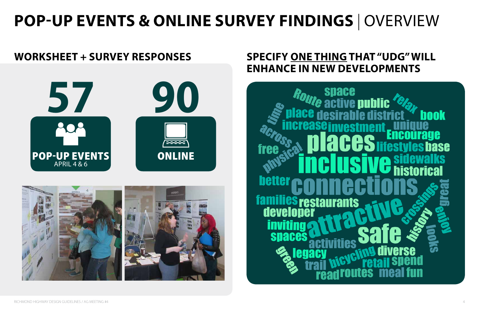# **POP-UP EVENTS & ONLINE SURVEY FINDINGS** | OVERVIEW

## **WORKSHEET + SURVEY RESPONSES SPECIFY ONE THING THAT "UDG" WILL ENHANCE IN NEW DEVELOPMENTS**





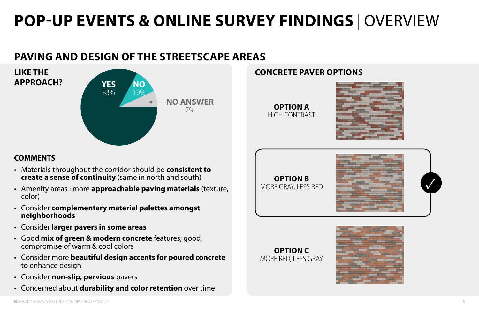# **POP-UP EVENTS & ONLINE SURVEY FINDINGS** | OVERVIEW

## **PAVING AND DESIGN OF THE STREETSCAPE AREAS**

### **COMMENTS**

- Materials throughout the corridor should be **consistent to create a sense of continuity** (same in north and south)
- Amenity areas : more **approachable paving materials** (texture, color)
- Consider **complementary material palettes amongst neighborhoods OPTION A OPTION B OPTION C**
- Consider **larger pavers in some areas**
- Good **mix of green & modern concrete** features; good compromise of warm & cool colors
- Consider more **beautiful design accents for poured concrete** to enhance design
- Consider **non-slip, pervious** pavers
- Concerned about **durability and color retention** over time



### **OPTION A OPTION B OPTION C**



**OPTION A** HIGH CONTRAST







# **APPROACH?**